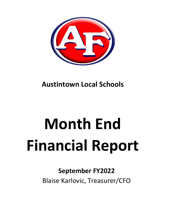

# **Austintown Local Schools**

# **Month End Financial Report**

## **September FY2022**

Blaise Karlovic, Treasurer/CFO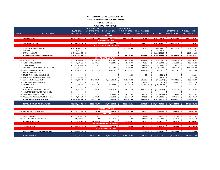#### **AUSTINTOWN LOCAL SCHOOL DISTRICT MONTH END REPORT FOR SEPTEMBER FISCAL YEAR 2022 CASH POSITION REPORT**

|                                         |                         |                     |    | FISCAL YEAR 2022        |                                   |      | FISCAL YEAR 2022         |        |                                                   |    |                     |      |                                               |     |                     |
|-----------------------------------------|-------------------------|---------------------|----|-------------------------|-----------------------------------|------|--------------------------|--------|---------------------------------------------------|----|---------------------|------|-----------------------------------------------|-----|---------------------|
|                                         |                         | <b>JULY 1, 2021</b> |    | <b>MONTH TO DATE</b>    | FISCAL YEAR 2022                  |      | <b>MONTH TO DATE</b>     |        | FISCAL YEAR 2022                                  |    |                     |      | <b>OUTSTANDING</b>                            |     | <b>UNENCUMBERED</b> |
| <b>FUND</b>                             | <b>FUND DESCRIPTION</b> | <b>CASH BALANCE</b> |    | <b>RECEIPTS</b>         | <b>RECEIPTS</b>                   |      | <b>EXPENDITURES</b>      |        | <b>EXPENDITURES</b>                               |    | <b>CASH BALANCE</b> |      | <b>ENCUMBRANCES</b>                           |     | <b>CASH BALANCE</b> |
|                                         |                         |                     |    |                         | <b>GENERAL FUND</b>               |      |                          |        |                                                   |    |                     |      |                                               |     |                     |
| 001 GENERAL FUND                        |                         | $$13,879,600.39$ \$ |    |                         | 1,787,739.89 \$ 13,663,958.23 \$  |      | 3,408,167.06 \$          |        | 10,625,944.30 \$ 16,917,614.32 \$ 2,818,520.00 \$ |    |                     |      |                                               |     | 14,099,094.32       |
|                                         |                         |                     |    |                         | <b>DEBT SERVICE FUND</b>          |      |                          |        |                                                   |    |                     |      |                                               |     |                     |
| 002 BOND RETIREMENT                     |                         | \$3,586,200.64\$    |    | \$<br>$\sim 100$        | 1,299,000.00 \$                   |      | $\sim$                   | - \$   |                                                   |    |                     |      | 859,436.41 \$ 4,025,764.23 \$ 2,635,626.16 \$ |     | 1,390,138.07        |
|                                         |                         |                     |    |                         | <b>CAPITAL IMPROVEMENT FUNDS</b>  |      |                          |        |                                                   |    |                     |      |                                               |     |                     |
| 003 PERMANENT IMPROVEMENT               |                         | \$2,958,803.52\$    |    |                         | Ś.<br>$\blacksquare$              | S.   | 298,386.46 \$            |        | 603,988.83 \$                                     |    | 2,354,814.69 \$     |      | 497,637.38 \$                                 |     | 1,857,177.31        |
| 004 BUILDING                            | Ś.                      | 125,713.75 \$       |    |                         |                                   | Ŝ    |                          | \$     |                                                   | ς  | 125,713.75 \$       |      |                                               | -S  | 125,713.75          |
| 070 CAPITAL PROJECTS                    |                         | $$3,218,124.25$ \$  |    |                         |                                   |      |                          | \$     |                                                   | Ŝ  | 3,218,124.25 \$     |      | $\blacksquare$                                | \$  | 3,218,124.25        |
| TOTAL CAPITAL IMPROVEMENT FUNDS         |                         | \$6,302,641.52\$    |    |                         |                                   |      | 298,386.46 \$            |        | 603,988.83 \$                                     |    | 5,698,652.69 \$     |      | 497,637.38 \$                                 |     | 5,201,015.31        |
|                                         |                         |                     |    |                         | <b>SPECIAL REVENUE FUNDS</b>      |      |                          |        |                                                   |    |                     |      |                                               |     |                     |
| 006 FOOD SERVICE                        | \$                      | 716,690.95 \$       |    | 47,956.86 \$            | 91,202.97 \$                      |      | 153,216.20 \$            |        | 397,893.01 \$                                     |    | 410,000.91 \$       |      | 759,231.74 \$                                 |     | (349, 230.83)       |
| 018 PUBLIC SCHOOL SUPPORT               |                         | 176,171.09 \$       |    | 25,980.14 \$            | 32,632.87 \$                      |      | $6,199.74$ \$            |        | 9,303.96 \$                                       |    | 199,500.00 \$       |      | 14,268.18 \$                                  |     | 185,231.82          |
| 019 OTHER GRANT                         |                         | 167,916.88 \$       |    | Ŝ                       | $\blacksquare$                    | -S   | 12,953.45 \$             |        | 24,838.46 \$                                      |    | 143,078.42 \$       |      | 7,075.52 \$                                   |     | 136,002.90          |
| 034 OSFC PROJ-.5 MILLS MAINTENANCE FUND |                         | 3,521,355.08 \$     |    |                         | \$<br>121,000.00                  | -\$  | 28,990.30 \$             |        | 32,094.12 \$                                      |    | 3,610,260.96 \$     |      | 30,165.18 \$                                  |     | 3,580,095.78        |
| 300 DISTRICT MANAGED ACTIVITY           |                         | 189,320.02 \$       |    | 65,825.19<br>-Ś         | 130,122.43                        | - S  | 60,471.02 \$             |        | 115,632.86 \$                                     |    | 203,809.59 \$       |      | 139,386.63                                    | - S | 64,422.96           |
| 451 NETWORK CONNECTIVITY                |                         |                     | S  | Ś                       |                                   |      | $\overline{\phantom{a}}$ | Ŝ.     |                                                   | Ŝ. |                     | -Ŝ   |                                               |     |                     |
| 467 STUDENT SUCCESS AND WELLNESS        |                         |                     | \$ | Ŝ                       |                                   |      | $30.24$ \$               |        | $30.24$ \$                                        |    | $(30.24)$ \$        |      |                                               |     | (30.24)             |
| 499 MISCELLANEOUS STATE GRANT FUND      |                         | 1,458.29            |    |                         |                                   |      |                          | Ś      |                                                   | -S | 1,458.29 \$         |      |                                               |     | 1,458.29            |
| 507 ESSER FEDERAL RELIEF FUND           |                         | $(426, 289.74)$ \$  |    | 542,798.05<br>-Ś        | 1,162,510.71                      | -S   | 176,128.82 \$            |        | 836,207.81 \$                                     |    | $(99,986.84)$ \$    |      | 490,744.23                                    |     | (590, 731.07)       |
| 510 CORONA VIRUS RELIEF FUND            |                         |                     | -Ś | Ś                       |                                   | Ŝ    | $1,002.75$ \$            |        | 3,008.25 \$                                       |    | $(3,008.25)$ \$     |      | 11,888.85                                     | - S | (14,897.10)         |
| 516 FY19 Title VI-B                     |                         | (41,791.73) \$      |    | 58,923.05<br>- \$       | 138,617.08                        | - Ś  | $101,668.53$ \$          |        | 205,867.60 \$                                     |    | $(109, 042.25)$ \$  |      | $\overline{\phantom{a}}$                      | .S  | (109, 042.25)       |
| 551 FY20 TITLE III                      |                         |                     | .S | Ś                       |                                   | Ŝ    | $\tilde{\phantom{a}}$    | Ŝ.     |                                                   | Ŝ. |                     | -Ŝ   |                                               | Ś   |                     |
| 572 TITLE I DISADVANTAGED STUDENTS      |                         | $(15, 462.88)$ \$   |    | 22,058.36<br>- Ś        | 79,104.28                         | - S  | 44,734.52 \$             |        | 178,117.40 \$                                     |    | $(114, 476.00)$ \$  |      | 74,689.34                                     | - S | (189, 165.34)       |
| 587 IDEA SPECIAL EDUCATION PRESCHOOL    |                         |                     | -S | S                       |                                   | S    |                          | \$.    |                                                   | -S |                     | - \$ |                                               | -S  |                     |
| 590 IMPROVING TEACHER QUALITY           |                         | $(1,531.09)$ \$     |    | Ś                       | 9,076.93 \$                       |      | 18,467.25 \$             |        | 29,276.42 \$                                      |    | $(21,730.58)$ \$    |      | 12,411.40 \$                                  |     | (34, 141.98)        |
| 599 MISCELLANEOUS FEDERAL GRANT FUND    |                         | 140,856.04 \$       |    | 2,391.24 \$             | 10,683.69 \$                      |      | 27,783.17 \$             |        | 47,991.61 \$                                      |    | 103,548.12 \$       |      | 40,479.44 \$                                  |     | 63,068.68           |
| TOTAL SPECIAL REVENUE FUNDS             |                         | 4,428,692.91 \$     |    | 765,932.89 \$           | 1,774,950.96 \$                   |      | 631,645.99 \$            |        | 1,880,261.74 \$                                   |    | 4,323,382.13 \$     |      | 1,580,340.51 \$                               |     | 2,743,041.62        |
| TOTAL ALL GOVERNMENTAL FUNDS            |                         | $$28,197,135.46$ \$ |    | $2,553,672.78$ \$       | 16,737,909.19 \$                  |      | 4,338,199.51 \$          |        | 13,969,631.28 \$ 30,965,413.37 \$                 |    |                     |      | 7,532,124.05 \$                               |     | 23,433,289.32       |
|                                         |                         |                     |    |                         |                                   |      |                          |        |                                                   |    |                     |      |                                               |     |                     |
|                                         |                         |                     |    |                         | <b>ENTERPRISE FUNDS</b>           |      |                          |        |                                                   |    |                     |      |                                               |     |                     |
| 020 SPECIAL ENTERPRISE FUND             |                         | \$.<br>59,227.55 \$ |    | 594.50 \$               | 594.50 \$                         |      | 5,907.86 \$              |        | 20,500.21 \$                                      |    | 39,321.84 \$        |      | 28,318.50 \$                                  |     | 11,003.34           |
|                                         |                         |                     |    |                         | <b>AGENCY FUNDS</b>               |      |                          |        |                                                   |    |                     |      |                                               |     |                     |
| 022 DISTRICT AGENCY                     | S                       | 27,426.80 \$        |    | s.<br>$\sim$            | ÷.                                | -\$  | $\sim$                   | $\sim$ | 8,949.49 \$                                       |    | 18,477.31 \$        |      | 1,300.00 \$                                   |     | 17,177.31           |
| 200 STUDENT MANAGED ACTIVITY            | S                       | 109,680.32 \$       |    | 17,142.20 \$            | 31,953.19 \$                      |      | 10,542.37 \$             |        | 17,568.67 \$                                      |    | 124,064.84 \$       |      | 12,861.74 \$                                  |     | 111,203.10          |
| <b>TOTAL AGENCY FUNDS</b>               | Ś                       | 137,107.12 \$       |    | 17,142.20 \$            | 31,953.19 \$                      |      | 10,542.37 \$             |        | 26,518.16 \$                                      |    | 142,542.15 \$       |      | 14,161.74 \$                                  |     | 128,380.41          |
|                                         |                         |                     |    |                         | <b>PRIVATE PURPOSE TRUST FUND</b> |      |                          |        |                                                   |    |                     |      |                                               |     |                     |
| 007 SPECIAL TRUST                       |                         | \$144,232.62\$      |    | $12.80 \quad $$         | $6,911.56$ \$                     |      | $500.00$ \$              |        | 18,956.00 \$                                      |    | 132,188.18 \$       |      | 3,770.00 \$                                   |     | 128,418.18          |
|                                         |                         |                     |    |                         | <b>INTERNAL SERVICE FUND</b>      |      |                          |        |                                                   |    |                     |      |                                               |     |                     |
|                                         |                         |                     |    |                         |                                   |      |                          |        |                                                   |    |                     |      |                                               |     |                     |
| 027 WORKERS COMPENSATION ACCOUNT        |                         | \$244,431.03\$      |    | \$.<br>$\sim$ 100 $\mu$ | $\sim 100$                        | - \$ | $-5$                     |        | 1.500.00 \$                                       |    | 242,931.03 \$       |      | 183,000.00 \$                                 |     | 59,931.03           |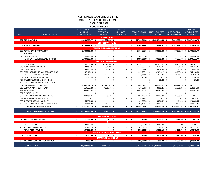|              |                                         |    |                       | <b>BUDGET REPORT</b>             |                   |     |                   |     |                                   |     |                               |                      |
|--------------|-----------------------------------------|----|-----------------------|----------------------------------|-------------------|-----|-------------------|-----|-----------------------------------|-----|-------------------------------|----------------------|
|              |                                         |    | FISCAL YEAR 2022      | <b>PRIOR YEAR</b>                | <b>FYTD BOARD</b> |     |                   |     |                                   |     |                               | <b>BUDGET</b>        |
|              |                                         |    | <b>ORIGINAL</b>       | <b>CARRYOVER</b>                 | APPROVED          |     | FISCAL YEAR 2022  |     | FISCAL YEAR 2022                  |     | <b>OUTSTANDING</b>            | <b>AVAILABLE FOR</b> |
| <b>FUND</b>  | <b>FUND DESCRIPTION</b>                 |    | <b>APPROPRIATIONS</b> | <b>ENCUMBRANCES</b>              | <b>AMENDMENTS</b> |     | <b>EXPENDABLE</b> |     | <b>EXPENDITURES</b>               |     | <b>ENCUMBRANCES</b>           | <b>EXPENDITURE</b>   |
|              |                                         |    |                       | <b>GENERAL FUND</b>              |                   |     |                   |     |                                   |     |                               |                      |
|              | 001 GENERAL FUND                        | Ś. | 44,500,388.77 \$      | 215,222.28 \$                    | $\sim$            | \$  |                   |     | 44,715,611.05 \$ 10,625,944.30 \$ |     | 2,818,520.00 \$ 31,271,146.75 |                      |
|              |                                         |    |                       | <b>DEBT SERVICE FUND</b>         |                   |     |                   |     |                                   |     |                               |                      |
|              | 002 BOND RETIREMENT                     | Ś. | 3,809,666.91 \$       |                                  | \$<br>$\sim$      | \$. | 3,809,666.91 \$   |     | 859,436.41 \$                     |     | 2,635,626.16 \$               | 314,604.34           |
|              |                                         |    |                       | <b>CAPITAL IMPROVEMENT FUNDS</b> |                   |     |                   |     |                                   |     |                               |                      |
|              | 003 PERMANENT IMPROVEMENT               |    | 2,900,000.00 \$       |                                  |                   | Ŝ.  | 2,900,000.00 \$   |     | 603,988.83                        | -S  | 497,637.38 \$                 | 1,798,373.79         |
| 004 BUILDING |                                         |    |                       |                                  |                   |     |                   | S   |                                   |     |                               |                      |
|              | 070 CAPITAL PROJECTS                    |    | 100,000.00            |                                  |                   |     | 100,000.00 \$     |     |                                   |     |                               | 100,000.00           |
|              | TOTAL CAPITAL IMPROVEMENT FUNDS         |    | 3,000,000.00 \$       |                                  |                   |     | 3,000,000.00 \$   |     | 603,988.83                        |     | 497,637.38 \$                 | 1,898,373.79         |
|              |                                         |    |                       | <b>SPECIAL REVENUE FUNDS</b>     |                   |     |                   |     |                                   |     |                               |                      |
|              | 006 FOOD SERVICE                        |    | 1,750,718.39 \$       | 47,348.58 \$                     |                   | Ŝ.  | 1,798,066.97 \$   |     | 397,893.01 \$                     |     | 759,231.74 \$                 | 640,942.22           |
|              | 018 PUBLIC SCHOOL SUPPORT               |    | 132,052.45 \$         | 834.00 \$                        |                   |     | 132,886.45 \$     |     | $9,303.96$ \$                     |     | 14,268.18 \$                  | 109,314.31           |
|              | 019 OTHER GRANT                         |    | 38,000.00 \$          | 583.02 \$                        |                   |     | 38,583.02 \$      |     | 24,838.46 \$                      |     | 7,075.52 \$                   | 6,669.04             |
|              | 034 OSFC PROJ-.5 MILLS MAINTENANCE FUND |    | 297,408.19 \$         |                                  |                   |     | 297,408.19 \$     |     | 32,094.12 \$                      |     | 30,165.18 \$                  | 235,148.89           |
|              | 300 DISTRICT MANAGED ACTIVITY           |    | 330,743.15 \$         | 16,101.46                        |                   |     | 346,844.61 \$     |     | 115,632.86                        | -Ś  | 139,386.63 \$                 | 91,825.12            |
|              | 451 DATA COMMUNICATION FUND             |    | 7,200.00 \$           |                                  |                   |     | 7,200.00 \$       |     |                                   |     |                               | 7,200.00             |
|              | 467 STUDENT SUCCESS AND WELLNESS        |    |                       |                                  |                   |     |                   |     | 30.24                             |     |                               | (30.24)              |
|              | 499 MISCELLANEOUS STATE GRANT FUND      |    |                       |                                  |                   |     |                   |     |                                   |     |                               |                      |
|              | 507 ESSER FEDERAL RELIEF FUND           |    | 8,446,104.25 \$       | 422,243.51 \$                    |                   |     | 8,868,347.76 \$   |     | 836,207.81                        | -S  | 490,744.23                    | 7,541,395.72         |
|              | 510 CORONA VIRUS RELIEF FUND            |    | 119,337.43 \$         | 9,666.67                         |                   |     | 129,004.10 \$     |     | 3,008.25                          | -S  | 11,888.85 \$                  | 114,107.00           |
|              | 516 FY19 Title VI-B                     |    | 1,092,900.53 \$       |                                  |                   |     | 1,092,900.53 \$   |     | 205,867.60                        |     | $\overline{\phantom{a}}$      | 887,032.93           |
|              | 551 FY20 TITLE III LEP                  |    |                       |                                  |                   |     |                   | Ŝ   |                                   |     |                               |                      |
|              | 572 TITLE I DISADVANTAGED STUDENTS      |    | 907,190.81 \$         | 1,279.58                         |                   |     | 908,470.39 \$     |     | 178,117.40                        |     | 74,689.34 \$                  | 655,663.65           |
|              | 587 IDEA SPECIAL ED. PRESCHOOL          |    |                       |                                  |                   |     | 14,879.91 \$      |     |                                   |     |                               | 14,879.91            |
|              | 590 IMPROVING TEACHER QUALITY           |    | 165,350.38 \$         |                                  |                   |     | 165,350.38 \$     |     | 29,276.42 \$                      |     | 12,411.40 \$                  | 123,662.56           |
|              | 599 MISCELLANEOUS FEDERAL GRANT FUND    |    | 190,965.20 \$         | $7,143.11$ \$                    |                   |     | 198,108.31 \$     |     | 47,991.61 \$                      |     | 40,479.44 \$                  | 109,637.26           |
|              | <b>TOTAL SPECIAL REVENUE FUNDS</b>      |    | 13,477,970.78 \$      | 505,199.93 \$                    |                   |     | 13,998,050.62     | - S | 1,880,261.74                      | - S | 1,580,340.51 \$ 10,537,448.37 |                      |
|              |                                         |    |                       |                                  |                   |     |                   |     |                                   |     |                               |                      |
|              | TOTAL ALL GOVERNMENTAL FUNDS            | Ś  | 64,788,026.46 \$      | 720,422.21 \$                    |                   |     |                   |     | 65,523,328.58 \$ 13,969,631.28 \$ |     | 7,532,124.05 \$ 44,021,573.25 |                      |
|              |                                         |    |                       |                                  |                   |     |                   |     |                                   |     |                               |                      |
|              |                                         |    |                       | <b>ENTERPRISE FUNDS</b>          |                   |     |                   |     |                                   |     |                               |                      |
|              | 020 SPECIAL ENTERPRISE FUND             | Ś. | 71,701.00 \$          | $\overline{\phantom{a}}$         | \$<br>$\sim 100$  | \$  | 71,701.00 \$      |     | 20,500.21 \$                      |     | 28,318.50 \$                  | 22,882.29            |
|              |                                         |    |                       | $\mathbf{0}$                     |                   |     |                   |     |                                   |     |                               |                      |
|              |                                         |    |                       |                                  |                   |     |                   |     |                                   |     |                               |                      |

| AUSTINTOWN LOCAL SCHOOL DISTRICT      |
|---------------------------------------|
| <b>MONTH END REPORT FOR SEPTEMBER</b> |

**FISCAL YEAR 2022**

|                                  |                  | <b>ENTERPRISE FUNDS</b>           |                          |               |    |                  |                 |                 |
|----------------------------------|------------------|-----------------------------------|--------------------------|---------------|----|------------------|-----------------|-----------------|
| 020 SPECIAL ENTERPRISE FUND      | 71,701.00 \$     | $\overline{\phantom{a}}$          |                          | 71,701.00 \$  |    | 20,500.21        | 28,318.50 \$    | 22,882.29       |
|                                  |                  | O                                 |                          |               |    |                  |                 |                 |
| 022 DISTRICT AGENCY              | 27,000.00 \$     |                                   | $\overline{\phantom{a}}$ | 27,000.00 \$  |    | 8,949.49         | 1,300.00<br>- S | 16,750.51       |
| 200 STUDENT MANAGED ACTIVITY     | 182,628.28 \$    |                                   | $\sim$                   | 182,628.28 \$ |    | 17,568.67 \$     | 12,861.74 \$    | 152,197.87      |
| <b>TOTAL AGENCY FUNDS</b>        | 209,628.28 \$    |                                   |                          | 209,628.28 \$ |    | 26,518.16 \$     | 14,161.74 \$    | 168,948.38      |
|                                  |                  | <b>PRIVATE PURPOSE TRUST FUND</b> |                          |               |    |                  |                 |                 |
| 007 SPECIAL TRUST                | 23,700.00 \$     |                                   |                          | 23,700.00 \$  |    | 18,956.00 \$     | 3,770.00 \$     | 974.00          |
|                                  |                  | <b>INTERNAL SERVICE FUND</b>      |                          |               |    |                  |                 |                 |
| 027 WORKERS COMPENSATION ACCOUNT | 150,000.00 \$    |                                   |                          | 150,000.00    |    | 1,500.00         | 183,000.00 \$   | (34,500.00)     |
|                                  |                  |                                   |                          |               |    |                  |                 |                 |
| <b>TOTAL ALL FUNDS</b>           | 65,243,055.74 \$ | 720,422.21 \$                     | $\sim 100$               | 65,978,357.86 | S. | 14,037,105.65 \$ | 7,761,374.29    | \$44,179,877.92 |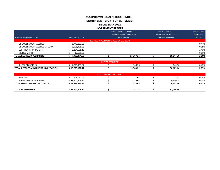### **AUSTINTOWN LOCAL SCHOOL DISTRICT MONTH END REPORT FOR SEPTEMBER FISCAL YEAR 2022 INVESTMENT REPORT**

| <b>TOTAL REDTREE INVESTMENTS</b> | 7,993,374.55         |                                       | 15,367.26                     | 50,544.70                | 2.06%            |
|----------------------------------|----------------------|---------------------------------------|-------------------------------|--------------------------|------------------|
| <b>MONEY MARKET</b>              | 17,561.80            |                                       |                               |                          | 0.01%            |
| <b>CERTIFICATES OF DEPOSIT</b>   | 5,134,065.15         |                                       |                               |                          | 2.41%            |
| US GOVERNMENT AGENCY DISCOUNT    | 1,098,465.35         |                                       |                               |                          | 0.19%            |
| US GOVERNMENT AGENCY             | 1,743,282.25         |                                       |                               |                          | 0.44%            |
|                                  |                      | REDTREE INVESTMENTS HELD BY U.S. BANK |                               |                          |                  |
| <b>BANK INVESTMENT TYPE</b>      | <b>BALANCE VALUE</b> |                                       | <b>SEPTEMBER</b>              | POSTED TO DATE           | <b>RATE</b>      |
|                                  |                      |                                       | <b>MANAGEMENT FEES FOR</b>    | <b>INVESTMENT INCOME</b> | <b>INTEREST</b>  |
|                                  |                      |                                       | <b>INVESTMENT INCOME LESS</b> | <b>FISCAL YEAR 2022</b>  | <b>SEPTEMBER</b> |

|                                                   |                      | SECURITIES<br><b>HIL</b> |           |           |       |
|---------------------------------------------------|----------------------|--------------------------|-----------|-----------|-------|
| <b>HILLTOP SECURITIES</b>                         | 191 N<br>4,743,131.U |                          | 140.96    | 140.96    | 0.43% |
| L REDTREE AND HILLTOP INVESTMENTS<br><b>TOTAL</b> | 10,736,127.42        |                          | 15,508.22 | 50.685.66 | 2.03% |

|                              |               | <b>MONEY MARKET ACCOUNTS</b> |           |           |       |
|------------------------------|---------------|------------------------------|-----------|-----------|-------|
| <b>STAR OHIO</b>             | 108,627.66    |                              | 7.01      | 21.05     | 0.08% |
| <b>FARMERS NATIONAL BANK</b> | 19,702,906.31 |                              | 2.216.02  | 6,330.25  | 0.13% |
| TOTAL MONEY MARKET ACCOUNTS  | 19,811,533.97 |                              | 2.223.03  | 6,351.30  | 0.67% |
|                              |               |                              |           |           |       |
| <b>TOTAL INVESTMENTS</b>     | 27,804,908.52 |                              | 17,731.25 | 57,036.96 |       |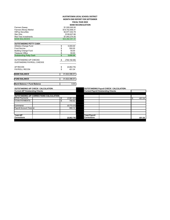#### **AUSTINTOWN LOCAL SCHOOL DISTRICT MONTH END REPORT FOR SEPTEMBER FISCAL YEAR 2022 BANK RECONCILIATION**<br>\$1,500,000.00

| <b>Farmers Sweep</b>                                              |          | \$1,500,000.00    |  |                                               |    |        |
|-------------------------------------------------------------------|----------|-------------------|--|-----------------------------------------------|----|--------|
| <b>Farmers Money Market</b>                                       |          | \$19,702,906.31   |  |                                               |    |        |
| <b>HillTop Securities</b>                                         |          | \$2,977,442.79    |  |                                               |    |        |
| Star Ohio                                                         |          | \$108,627.66      |  |                                               |    |        |
| <b>Red Tree Investments</b>                                       |          | \$7,993,374.55    |  |                                               |    |        |
| <b>BANK BALANCES</b>                                              |          | \$32,282,351.31   |  |                                               |    |        |
| <b>OUTSTANDING PETTY CASH</b>                                     |          |                   |  |                                               |    |        |
| <b>Athletics Change Fund</b>                                      | \$       | 5,000.00          |  |                                               |    |        |
| <b>Food Service</b>                                               | \$       | 550.00            |  |                                               |    |        |
| <b>Building Change Fund</b>                                       |          | 50.00             |  |                                               |    |        |
|                                                                   |          |                   |  |                                               |    |        |
| <b>Treasurer Office</b><br><b>Outstanding Petty Cash</b>          | \$<br>\$ | 50.00<br>5,650.00 |  |                                               |    |        |
|                                                                   |          |                   |  |                                               |    |        |
| <b>OUTSTANDING A/P CHECKS</b><br><b>OUSTANDING PAYROLL CHECKS</b> | \$       | (759, 192.99)     |  |                                               |    |        |
| AP RECON                                                          | \$       | (6,862.79)        |  |                                               |    |        |
| <b>PAYROLL RECON</b>                                              | \$       | 451.04            |  |                                               |    |        |
| <b>BANK BALANCE</b>                                               |          | 31,522,396.57     |  |                                               |    |        |
| <b>FUND BALANCE</b>                                               |          | 31,522,396.57     |  |                                               |    |        |
| <b>Bank Balance = Fund Balance</b>                                |          | 0.00              |  |                                               |    |        |
| <b>OUTSTANDING A/P CHECK CALCULATION:</b>                         |          |                   |  | <b>OUTSTANDING Payroll CHECK CALCULATION:</b> |    |        |
| <b>Current A/P Outstanding Checks</b>                             |          |                   |  | <b>Current Payroll Outstanding Checks</b>     |    |        |
|                                                                   |          |                   |  |                                               |    |        |
| <b>OUTSTANDING A/P CORRECTIONS CALCULATION:</b>                   |          |                   |  |                                               |    |        |
| <b>DFAS Payments</b>                                              | \$       | (2,861.60)        |  |                                               | \$ | 451.04 |
| <b>TITAN PAYMENTS</b>                                             | \$       | 780.92            |  |                                               |    |        |
| Commerce                                                          |          | (5,772.23)        |  |                                               |    |        |
| <b>Payroll Account Transfer</b>                                   |          | 990.12            |  |                                               |    |        |
|                                                                   |          |                   |  |                                               |    |        |

**Corrections (6,862.79)**

**Total A/P** 

|                      | Current Payroll Outstanding Checks |              |
|----------------------|------------------------------------|--------------|
|                      |                                    |              |
|                      |                                    |              |
|                      |                                    | \$<br>451.04 |
|                      |                                    |              |
|                      |                                    |              |
|                      |                                    |              |
|                      |                                    |              |
|                      |                                    |              |
|                      |                                    |              |
| <b>Total Payroll</b> |                                    |              |
| <b>Corrections</b>   |                                    | 451.04       |
|                      |                                    |              |